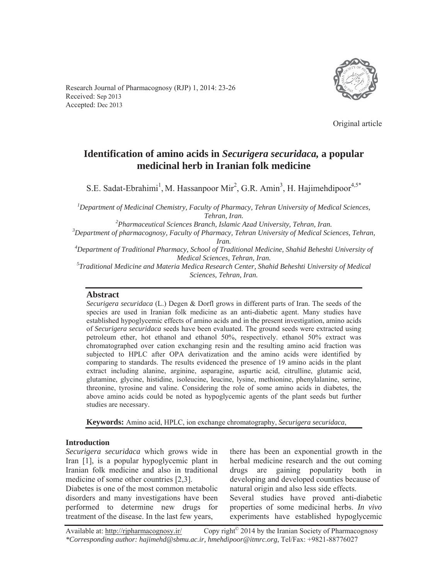



Original article

# **Identification of amino acids in** *Securigera securidaca,* **a popular medicinal herb in Iranian folk medicine**

S.E. Sadat-Ebrahimi<sup>1</sup>, M. Hassanpoor Mir<sup>2</sup>, G.R. Amin<sup>3</sup>, H. Hajimehdipoor<sup>4,5\*</sup>

*1 Department of Medicinal Chemistry, Faculty of Pharmacy, Tehran University of Medical Sciences, Tehran, Iran. 2*

*Pharmaceutical Sciences Branch, Islamic Azad University, Tehran, Iran. 3*

*Department of pharmacognosy, Faculty of Pharmacy, Tehran University of Medical Sciences, Tehran,* 

*Iran.*<br><sup>4</sup> Department of Traditional Pharmacy, School of Traditional Medicine, Shahid Beheshti University of

*Medical Sciences, Tehran, Iran. 5 Traditional Medicine and Materia Medica Research Center, Shahid Beheshti University of Medical Sciences, Tehran, Iran.* 

### **Abstract**

*Securigera securidaca* (L.) Degen & Dorfl grows in different parts of Iran. The seeds of the species are used in Iranian folk medicine as an anti-diabetic agent. Many studies have established hypoglycemic effects of amino acids and in the present investigation, amino acids of *Securigera securidaca* seeds have been evaluated. The ground seeds were extracted using petroleum ether, hot ethanol and ethanol 50%, respectively. ethanol 50% extract was chromatographed over cation exchanging resin and the resulting amino acid fraction was subjected to HPLC after OPA derivatization and the amino acids were identified by comparing to standards. The results evidenced the presence of 19 amino acids in the plant extract including alanine, arginine, asparagine, aspartic acid, citrulline, glutamic acid, glutamine, glycine, histidine, isoleucine, leucine, lysine, methionine, phenylalanine, serine, threonine, tyrosine and valine. Considering the role of some amino acids in diabetes, the above amino acids could be noted as hypoglycemic agents of the plant seeds but further studies are necessary.

**Keywords:** Amino acid, HPLC, ion exchange chromatography, *Securigera securidaca*,

### **Introduction**

*Securigera securidaca* which grows wide in Iran [1], is a popular hypoglycemic plant in Iranian folk medicine and also in traditional medicine of some other countries [2,3].

Diabetes is one of the most common metabolic disorders and many investigations have been performed to determine new drugs for treatment of the disease. In the last few years,

there has been an exponential growth in the herbal medicine research and the out coming drugs are gaining popularity both in developing and developed counties because of natural origin and also less side effects.

Several studies have proved anti-diabetic properties of some medicinal herbs. *In vivo* experiments have established hypoglycemic

Available at: http://rjpharmacognosy.ir/ Copy right<sup>©</sup> 2014 by the Iranian Society of Pharmacognosy *\*Corresponding author: hajimehd@sbmu.ac.ir, hmehdipoor@itmrc.org,* Tel/Fax: +9821-88776027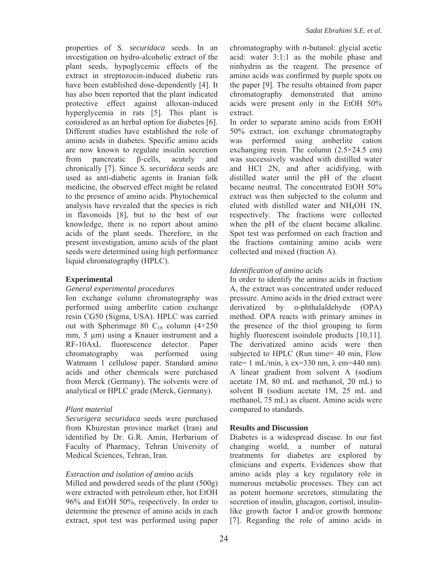properties of *S. securidaca* seeds. In an investigation on hydro-alcoholic extract of the plant seeds, hypoglycemic effects of the extract in streptozocin-induced diabetic rats have been established dose-dependently [4]. It has also been reported that the plant indicated protective effect against alloxan-induced hyperglycemia in rats [5]. This plant is considered as an herbal option for diabetes [6]. Different studies have established the role of amino acids in diabetes. Specific amino acids are now known to regulate insulin secretion from pancreatic  $\beta$ -cells, acutely and chronically [7]. Since *S. securidaca* seeds are used as anti-diabetic agents in Iranian folk medicine, the observed effect might be related to the presence of amino acids. Phytochemical analysis have revealed that the species is rich in flavonoids [8], but to the best of our knowledge, there is no report about amino acids of the plant seeds. Therefore, in the present investigation, amino acids of the plant seeds were determined using high performance liquid chromatography (HPLC).

## **Experimental**

#### *General experimental procedures*

Ion exchange column chromatography was performed using amberlite cation exchange resin CG50 (Sigma, USA). HPLC was carried out with Spherimage 80  $C_{18}$  column (4×250 mm, 5 μm) using a Knauer instrument and a RF-10AxL fluorescence detector. Paper chromatography was performed using Watmann 1 cellulose paper. Standard amino acids and other chemicals were purchased from Merck (Germany). The solvents were of analytical or HPLC grade (Merck, Germany).

### *Plant material*

*Securigera securidaca* seeds were purchased from Khuzestan province market (Iran) and identified by Dr. G.R. Amin, Herbarium of Faculty of Pharmacy, Tehran University of Medical Sciences, Tehran, Iran.

### *Extraction and isolation of amino acids*

Milled and powdered seeds of the plant (500g) were extracted with petroleum ether, hot EtOH 96% and EtOH 50%, respectively. In order to determine the presence of amino acids in each extract, spot test was performed using paper

chromatography with *n*-butanol: glycial acetic acid: water 3:1:1 as the mobile phase and ninhydrin as the reagent. The presence of amino acids was confirmed by purple spots on the paper [9]. The results obtained from paper chromatography demonstrated that amino acids were present only in the EtOH 50% extract.

In order to separate amino acids from EtOH 50% extract, ion exchange chromatography was performed using amberlite cation exchanging resin. The column  $(2.5 \times 24.5 \text{ cm})$ was successively washed with distilled water and HCl 2N, and after acidifying, with distilled water until the pH of the eluent became neutral. The concentrated EtOH 50% extract was then subjected to the column and eluted with distilled water and NH4OH 1N, respectively. The fractions were collected when the pH of the eluent became alkaline. Spot test was performed on each fraction and the fractions containing amino acids were collected and mixed (fraction A).

## *Identification of amino acids*

In order to identify the amino acids in fraction A, the extract was concentrated under reduced pressure. Amino acids in the dried extract were derivatized by *o*-phthalaldehyde (OPA) method. OPA reacts with primary amines in the presence of the thiol grouping to form highly fluorescent isoindole products [10,11]. The derivatized amino acids were then subjected to HPLC (Run time= 40 min, Flow rate= 1 mL/min,  $\lambda$  ex=330 nm,  $\lambda$  em=440 nm). A linear gradient from solvent A (sodium acetate 1M, 80 mL and methanol, 20 mL) to solvent B (sodium acetate 1M, 25 mL and methanol, 75 mL) as eluent. Amino acids were compared to standards.

### **Results and Discussion**

Diabetes is a widespread disease. In our fast changing world, a number of natural treatments for diabetes are explored by clinicians and experts. Evidences show that amino acids play a key regulatory role in numerous metabolic processes. They can act as potent hormone secretors, stimulating the secretion of insulin, glucagon, cortisol, insulinlike growth factor I and/or growth hormone [7]. Regarding the role of amino acids in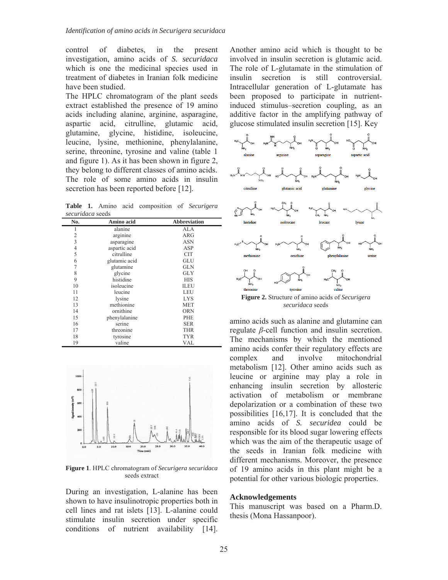control of diabetes, in the present investigation, amino acids of *S. securidaca* which is one the medicinal species used in treatment of diabetes in Iranian folk medicine have been studied.

The HPLC chromatogram of the plant seeds extract established the presence of 19 amino acids including alanine, arginine, asparagine, aspartic acid, citrulline, glutamic acid, glutamine, glycine, histidine, isoleucine, leucine, lysine, methionine, phenylalanine, serine, threonine, tyrosine and valine (table 1 and figure 1). As it has been shown in figure 2, they belong to different classes of amino acids. The role of some amino acids in insulin secretion has been reported before [12].

**Table 1.** Amino acid composition of *Securigera securidaca* seeds

| Amino acid    | <b>Abbreviation</b> |
|---------------|---------------------|
| alanine       | ALA                 |
| arginine      | <b>ARG</b>          |
| asparagine    | <b>ASN</b>          |
| aspartic acid | ASP                 |
| citrulline    | <b>CIT</b>          |
| glutamic acid | GLU                 |
| glutamine     | GLN                 |
| glycine       | <b>GLY</b>          |
| histidine     | HIS                 |
| isoleucine    | <b>ILEU</b>         |
| leucine       | LEU                 |
| lysine        | <b>LYS</b>          |
| methionine    | <b>MET</b>          |
| ornithine     | <b>ORN</b>          |
| phenylalanine | PHE                 |
| serine        | <b>SER</b>          |
| threonine     | <b>THR</b>          |
| tyrosine      | <b>TYR</b>          |
| valine        | <b>VAL</b>          |
|               |                     |



**Figure 1**. HPLC chromatogram of *Securigera securidaca* seeds extract

During an investigation, L-alanine has been shown to have insulinotropic properties both in cell lines and rat islets [13]. L-alanine could stimulate insulin secretion under specific conditions of nutrient availability [14].

Another amino acid which is thought to be involved in insulin secretion is glutamic acid. The role of L-glutamate in the stimulation of insulin secretion is still controversial. Intracellular generation of L-glutamate has been proposed to participate in nutrientinduced stimulus–secretion coupling, as an additive factor in the amplifying pathway of glucose stimulated insulin secretion [15]. Key



*securidaca* seeds

amino acids such as alanine and glutamine can regulate  $\beta$ -cell function and insulin secretion. The mechanisms by which the mentioned amino acids confer their regulatory effects are complex and involve mitochondrial metabolism [12]. Other amino acids such as leucine or arginine may play a role in enhancing insulin secretion by allosteric activation of metabolism or membrane depolarization or a combination of these two possibilities [16,17]. It is concluded that the amino acids of *S. securidea* could be responsible for its blood sugar lowering effects which was the aim of the therapeutic usage of the seeds in Iranian folk medicine with different mechanisms. Moreover, the presence of 19 amino acids in this plant might be a potential for other various biologic properties.

#### **Acknowledgements**

This manuscript was based on a Pharm.D. thesis (Mona Hassanpoor).